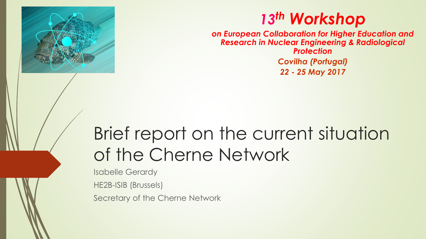

#### *13th Workshop*

*on European Collaboration for Higher Education and Research in Nuclear Engineering & Radiological Protection Covilha (Portugal) 22 - 25 May 2017*

# Brief report on the current situation of the Cherne Network

Isabelle Gerardy

HE2B-ISIB (Brussels)

Secretary of the Cherne Network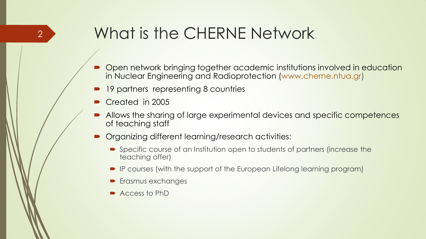#### What is the CHERNE Network

- Open network bringing together academic institutions involved in education in Nuclear Engineering and Radioprotection (www.cherne.ntua.gr)
- 19 partners representing 8 countries
- Created in 2005
- Allows the sharing of large experimental devices and specific competences of teaching staff
- Organizing different learning/research activities:
	- Specific course of an Institution open to students of partners (increase the teaching offer)
	- IP courses (with the support of the European Lifelong learning program)
	- Erasmus exchanges
	- Access to PhD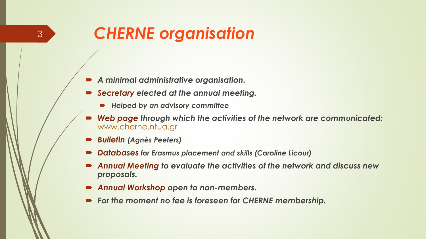## *CHERNE organisation*

- *A minimal administrative organisation.*
- *Secretary elected at the annual meeting.*
	- *Helped by an advisory committee*
- *Web page through which the activities of the network are communicated:*  www.cherne.ntua.gr
- *Bulletin (Agnès Peeters)*

- *Databases for Erasmus placement and skills (Caroline Licour)*
- *Annual Meeting to evaluate the activities of the network and discuss new proposals.*
- *Annual Workshop open to non-members.*
- *For the moment no fee is foreseen for CHERNE membership.*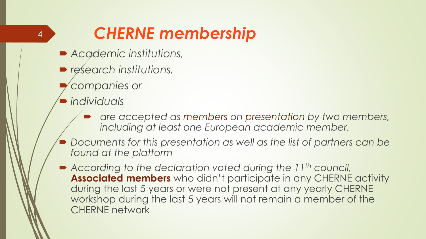## *CHERNE membership*

- *Academic institutions,*
- *research institutions,*
- *companies or*
- *individuals*

- *are accepted as members on presentation by two members, including at least one European academic member.*
- *Documents for this presentation as well as the list of partners can be found at the platform*
- According to the declaration voted during the 11<sup>th</sup> council, **Associated members** who didn't participate in any CHERNE activity during the last 5 years or were not present at any yearly CHERNE workshop during the last 5 years will not remain a member of the CHERNE network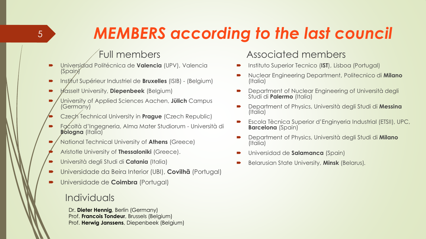## *MEMBERS according to the last council*

#### Full members

- Universidad Politécnica de **Valencia** (UPV), Valencia (Spain)
- **Institut Supérieur Industriel de Bruxelles** (ISIB) (Belgium)
- Hasselt University, **Diepenbeek** (Belgium)
- University of Applied Sciences Aachen, **Jülich** Campus (Germany)
- Czech Technical University in **Prague** (Czech Republic)
- Facoltà d'Ingegneria, Alma Mater Studiorum Università di **Bologna** (Italia)
- National Technical University of **Athens** (Greece)
- Aristotle University of **Thessaloniki** (Greece).
- Università degli Studi di **Catania** (Italia)
- Universidade da Beira Interior (UBI), **Covilhã** (Portugal)
- Universidade de **Coimbra** (Portugal)

#### Individuals

Dr. **Dieter Hennig**, Berlin (Germany) Prof. **Francois Tondeur**, Brussels (Belgium) Prof. **Herwig Janssens**, Diepenbeek (Belgium)

#### Associated members

- Instituto Superior Tecnico (**IST**), Lisboa (Portugal)
- Nuclear Engineering Department, Politecnico di **Milano** (Italia)
- Department of Nuclear Engineering of Università degli Studi di **Palermo** (Italia)
- Department of Physics, Università degli Studi di **Messina** (Italia)
- Escola Tècnica Superior d'Enginyeria Industrial (ETSII), UPC, **Barcelona** (Spain)
- Department of Physics, Università degli Studi di **Milano** (Italia)
- Universidad de **Salamanca** (Spain)
- Belarusian State University, **Minsk** (Belarus)*.*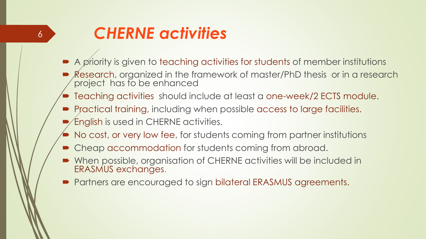#### *CHERNE activities*

- A priority is given to teaching activities for students of member institutions
- Research, organized in the framework of master/PhD thesis or in a research project has to be enhanced
- Teaching activities should include at least a one-week/2 ECTS module.
- **Practical training, including when possible access to large facilities.**
- English is used in CHERNE activities.
- No cost, or very low fee, for students coming from partner institutions
- Cheap accommodation for students coming from abroad.
- When possible, organisation of CHERNE activities will be included in ERASMUS exchanges.
- **Partners are encouraged to sign bilateral ERASMUS agreements.**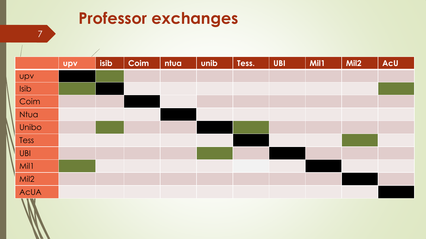#### **Professor exchanges**

| $\overline{\phantom{a}}$ | $\sqrt{2}$<br><b>UPV</b> | isib | Coim | ntua | unib | Tess. | <b>UBI</b> | Mil1 | Mil <sub>2</sub> | AcU |
|--------------------------|--------------------------|------|------|------|------|-------|------------|------|------------------|-----|
| Upv                      |                          |      |      |      |      |       |            |      |                  |     |
| Isib                     |                          |      |      |      |      |       |            |      |                  |     |
| Coim                     |                          |      |      |      |      |       |            |      |                  |     |
| Ntua                     |                          |      |      |      |      |       |            |      |                  |     |
| Unibo                    |                          |      |      |      |      |       |            |      |                  |     |
| Tess                     |                          |      |      |      |      |       |            |      |                  |     |
| <b>UBI</b>               |                          |      |      |      |      |       |            |      |                  |     |
| Mil1                     |                          |      |      |      |      |       |            |      |                  |     |
| Mil2                     |                          |      |      |      |      |       |            |      |                  |     |
| <b>AcUA</b>              |                          |      |      |      |      |       |            |      |                  |     |
| <b>VIV</b>               |                          |      |      |      |      |       |            |      |                  |     |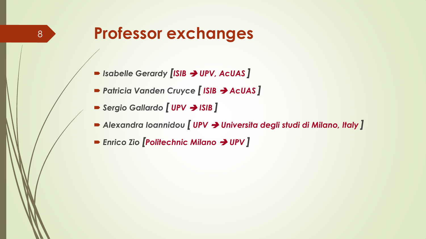#### **Professor exchanges**

- *Isabelle Gerardy [ISIB UPV, AcUAS ]*
- *Patricia Vanden Cruyce [ ISIB AcUAS ]*
- Sergio Gallardo *[* **UPV** → ISIB ]
- *Alexandra Ioannidou [ UPV Universita degli studi di Milano, Italy ]*
- *Enrico Zio [Politechnic Milano UPV ]*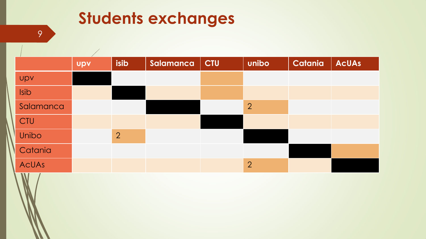### **Students exchanges**

|            | <b>Upv</b> | isib           | Salamanca | $ $ CTU | unibo          | Catania | <b>AcUAs</b> |
|------------|------------|----------------|-----------|---------|----------------|---------|--------------|
| <b>UPV</b> |            |                |           |         |                |         |              |
| Isib       |            |                |           |         |                |         |              |
| Salamanca  |            |                |           |         | $\overline{2}$ |         |              |
| CTU        |            |                |           |         |                |         |              |
| Unibo      |            | $\overline{2}$ |           |         |                |         |              |
| Catania    |            |                |           |         |                |         |              |
| AcUAs      |            |                |           |         | $\overline{2}$ |         |              |
| W.         |            |                |           |         |                |         |              |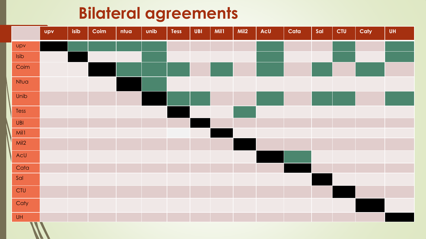#### **Bilateral agreements**

|            | <b>Upv</b> | isib | Coim | ntua | unib | <b>Tess</b> | <b>UBI</b> | Mil1 | Mil <sub>2</sub> | AcU | Cata | Sal | <b>CTU</b> | Caty | <b>UH</b> |
|------------|------------|------|------|------|------|-------------|------------|------|------------------|-----|------|-----|------------|------|-----------|
| upv        |            |      |      |      |      |             |            |      |                  |     |      |     |            |      |           |
| Isib       |            |      |      |      |      |             |            |      |                  |     |      |     |            |      |           |
| Coim       |            |      |      |      |      |             |            |      |                  |     |      |     |            |      |           |
| Ntua       |            |      |      |      |      |             |            |      |                  |     |      |     |            |      |           |
| Unib       |            |      |      |      |      |             |            |      |                  |     |      |     |            |      |           |
| Tess       |            |      |      |      |      |             |            |      |                  |     |      |     |            |      |           |
| UBI        |            |      |      |      |      |             |            |      |                  |     |      |     |            |      |           |
| Mil1       |            |      |      |      |      |             |            |      |                  |     |      |     |            |      |           |
| Mil2       |            |      |      |      |      |             |            |      |                  |     |      |     |            |      |           |
| AcU        |            |      |      |      |      |             |            |      |                  |     |      |     |            |      |           |
| Cata       |            |      |      |      |      |             |            |      |                  |     |      |     |            |      |           |
| Sal        |            |      |      |      |      |             |            |      |                  |     |      |     |            |      |           |
| <b>CTU</b> |            |      |      |      |      |             |            |      |                  |     |      |     |            |      |           |
| Caty       |            |      |      |      |      |             |            |      |                  |     |      |     |            |      |           |
| <b>UH</b>  |            |      |      |      |      |             |            |      |                  |     |      |     |            |      |           |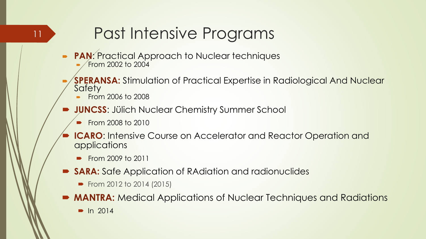## Past Intensive Programs

- **PAN: Practical Approach to Nuclear techniques** From 2002 to 2004
- **SPERANSA:** Stimulation of Practical Expertise in Radiological And Nuclear **Safety** 
	- From 2006 to 2008

- **JUNCSS**: Jülich Nuclear Chemistry Summer School
	- **From 2008 to 2010**
- **ICARO:** Intensive Course on Accelerator and Reactor Operation and applications
	- **From 2009 to 2011**
- **SARA:** Safe Application of RAdiation and radionuclides
	- From 2012 to 2014 (2015)
- **MANTRA:** Medical Applications of Nuclear Techniques and Radiations
	- $\blacksquare$  In 2014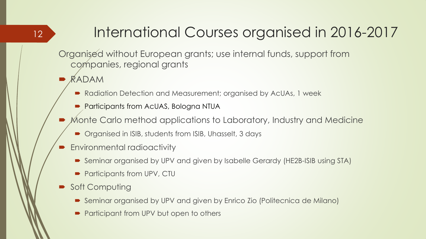#### International Courses organised in 2016-2017

Organised without European grants; use internal funds, support from companies, regional grants

RADAM

- Radiation Detection and Measurement; organised by AcUAs, 1 week
- **Participants from AcUAS, Bologna NTUA**
- Monte Carlo method applications to Laboratory, Industry and Medicine
	- Organised in ISIB, students from ISIB, Uhasselt, 3 days
- Environmental radioactivity
	- Seminar organised by UPV and given by Isabelle Gerardy (HE2B-ISIB using STA)
	- Participants from UPV, CTU
- Soft Computing
	- Seminar organised by UPV and given by Enrico Zio (Politecnica de Milano)
	- Participant from UPV but open to others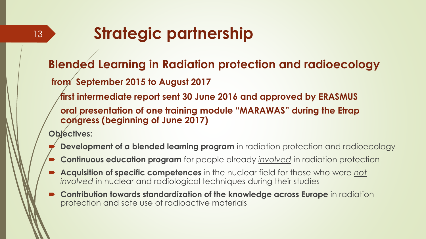## **Strategic partnership**

#### **Blended Learning in Radiation protection and radioecology**

**from September 2015 to August 2017**

**first intermediate report sent 30 June 2016 and approved by ERASMUS**

**oral presentation of one training module "MARAWAS" during the Etrap congress (beginning of June 2017)**

**Objectives:**

- **Development of a blended learning program** in radiation protection and radioecology
- **Continuous education program** for people already *involved* in radiation protection
- **Acquisition of specific competences** in the nuclear field for those who were *not involved* in nuclear and radiological techniques during their studies
- **Contribution towards standardization of the knowledge across Europe** in radiation protection and safe use of radioactive materials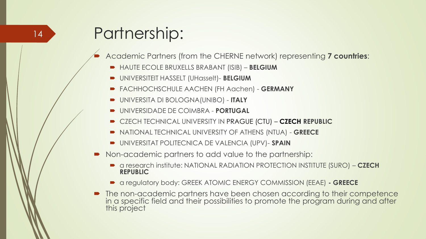## Partnership:

Academic Partners (from the CHERNE network) representing **7 countries**:

- HAUTE ECOLE BRUXELLS BRABANT (ISIB) **BELGIUM**
- UNIVERSITEIT HASSELT (UHasselt)- **BELGIUM**
- FACHHOCHSCHULE AACHEN (FH Aachen) **GERMANY**
- UNIVERSITA DI BOLOGNA(UNIBO) **ITALY**
- UNIVERSIDADE DE COIMBRA **PORTUGAL**
- CZECH TECHNICAL UNIVERSITY IN PRAGUE (CTU) **CZECH REPUBLIC**
- NATIONAL TECHNICAL UNIVERSITY OF ATHENS (NTUA) **GREECE**
- UNIVERSITAT POLITECNICA DE VALENCIA (UPV)- **SPAIN**
- Non-academic partners to add value to the partnership:
	- a research institute: NATIONAL RADIATION PROTECTION INSTITUTE (SURO) **CZECH REPUBLIC**
	- a regulatory body: GREEK ATOMIC ENERGY COMMISSION (EEAE) **- GREECE**
- The non-academic partners have been chosen according to their competence in a specific field and their possibilities to promote the program during and after this project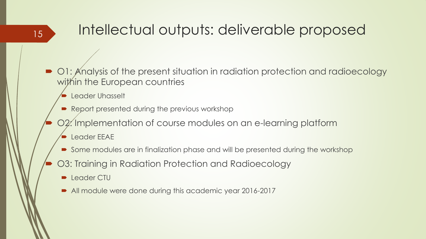#### Intellectual outputs: deliverable proposed

- O1: Analysis of the present situation in radiation protection and radioecology within the European countries
	- Leader Uhasselt

- Report presented during the previous workshop
- O2: Implementation of course modules on an e-learning platform
	- Leader EEAE
	- Some modules are in finalization phase and will be presented during the workshop
- O3: Training in Radiation Protection and Radioecology
	- **D** Leader CTU
	- All module were done during this academic year 2016-2017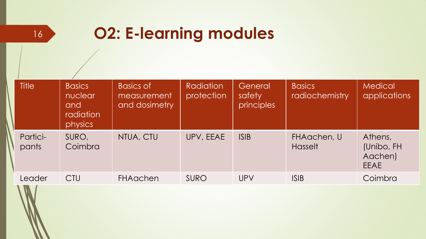| $\mathcal{L}(\mathcal{L})$ | I<br>m<br><b>Service Service Service Service Service</b> |
|----------------------------|----------------------------------------------------------|

## **O2: E-learning modules**

| <b>Title</b>             | <b>Basics</b><br>nuclear<br>and<br>radiation<br>physics | <b>Basics of</b><br>measurement<br>and dosimetry | <b>Radiation</b><br>protection | General<br>safety<br>principles | <b>Basics</b><br>radiochemistry | <b>Medical</b><br>applications                  |
|--------------------------|---------------------------------------------------------|--------------------------------------------------|--------------------------------|---------------------------------|---------------------------------|-------------------------------------------------|
| Partici-<br>pants        | SURO,<br>Coimbra                                        | NTUA, CTU                                        | UPV, EEAE                      | <b>ISIB</b>                     | FHAachen, U<br><b>Hasselt</b>   | Athens,<br>(Unibo, FH<br>Aachen)<br><b>EEAE</b> |
| Leader<br>$\blacksquare$ | <b>CTU</b>                                              | <b>FHAachen</b>                                  | SURO                           | UPV                             | <b>ISIB</b>                     | Coimbra                                         |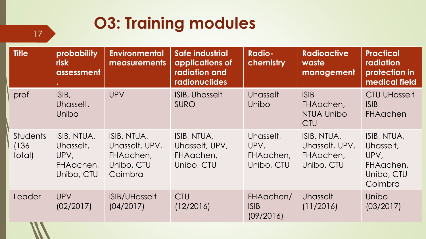## **O3: Training modules**

| <b>Title</b>                       | probability<br><b>risk</b><br>assessment                    | <b>Environmental</b><br><b>measurements</b>                         | <b>Safe industrial</b><br>applications of<br>radiation and<br><b>radionuclides</b> | <b>Radio-</b><br>chemistry                   | <b>Radioactive</b><br>waste<br>management                | <b>Practical</b><br>radiation<br>protection in<br>medical field        |
|------------------------------------|-------------------------------------------------------------|---------------------------------------------------------------------|------------------------------------------------------------------------------------|----------------------------------------------|----------------------------------------------------------|------------------------------------------------------------------------|
| prof                               | ISIB,<br>Uhasselt,<br>Unibo                                 | <b>UPV</b>                                                          | ISIB, Uhasselt<br><b>SURO</b>                                                      | Uhasselt<br>Unibo                            | <b>ISIB</b><br>FHAachen,<br>NTUA Unibo<br><b>CTU</b>     | <b>CTU UHasselt</b><br>ISIB<br><b>FHAachen</b>                         |
| <b>Students</b><br>(136)<br>total) | ISIB, NTUA,<br>Uhasselt,<br>UPV,<br>FHAachen,<br>Unibo, CTU | ISIB, NTUA,<br>Uhasselt, UPV,<br>FHAachen,<br>Unibo, CTU<br>Coimbra | ISIB, NTUA,<br>Uhasselt, UPV,<br>FHAachen,<br>Unibo, CTU                           | Uhasselt,<br>UPV,<br>FHAachen,<br>Unibo, CTU | ISIB, NTUA,<br>Uhasselt, UPV,<br>FHAachen,<br>Unibo, CTU | ISIB, NTUA,<br>Uhasselt,<br>UPV,<br>FHAachen,<br>Unibo, CTU<br>Coimbra |
| Leader                             | <b>UPV</b><br>(02/2017)                                     | <b>ISIB/UHasselt</b><br>(04/2017)                                   | <b>CTU</b><br>(12/2016)                                                            | FHAachen/<br>ISIB<br>(09/2016)               | <b>Uhasselt</b><br>(11/2016)                             | <b>Unibo</b><br>(03/2017)                                              |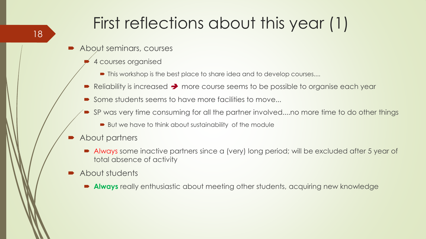## First reflections about this year (1)

- About seminars, courses
	- 4 courses organised
		- $\blacksquare$  This workshop is the best place to share idea and to develop courses....
	- Reliability is increased  $\rightarrow$  more course seems to be possible to organise each year
	- Some students seems to have more facilities to move...
	- SP was very time consuming for all the partner involved....no more time to do other things
		- But we have to think about sustainability of the module
- About partners
	- Always some inactive partners since a (very) long period; will be excluded after 5 year of total absence of activity
- About students
	- **Always** really enthusiastic about meeting other students, acquiring new knowledge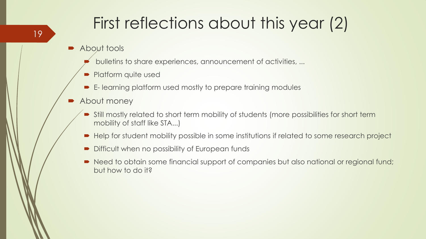## First reflections about this year (2)

- About tools
	- bulletins to share experiences, announcement of activities, ...
	- Platform quite used
	- E- learning platform used mostly to prepare training modules
- **About money** 
	- Still mostly related to short term mobility of students (more possibilities for short term mobility of staff like STA...)
	- Help for student mobility possible in some institutions if related to some research project
	- Difficult when no possibility of European funds
	- Need to obtain some financial support of companies but also national or regional fund; but how to do it?